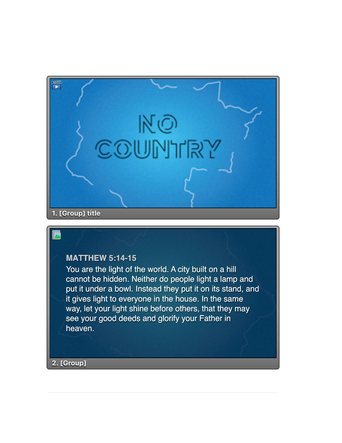

## **MATTHEW 5:14-15**

You are the light of the world. A city built on a hill cannot be hidden. Neither do people light a lamp and put it under a bowl. Instead they put it on its stand, and it gives light to everyone in the house. In the same way, let your light shine before others, that they may see your good deeds and glorify your Father in heaven.

**2. [Group]**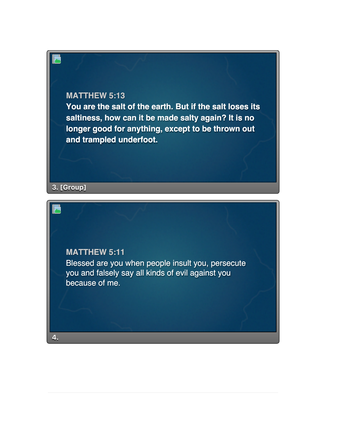## **MATTHEW 5:13**

**You are the salt of the earth. But if the salt loses its saltiness, how can it be made salty again? It is no longer good for anything, except to be thrown out and trampled underfoot.**

**3. [Group]**